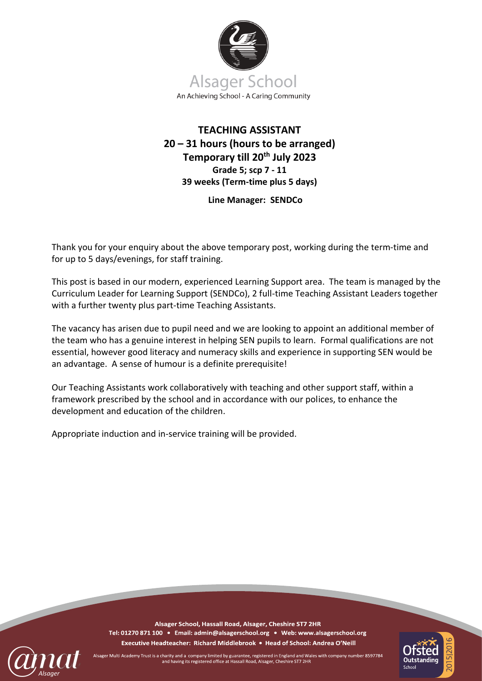

# **TEACHING ASSISTANT 20 – 31 hours (hours to be arranged) Temporary till 20th July 2023 Grade 5; scp 7 - 11 39 weeks (Term-time plus 5 days)**

**Line Manager: SENDCo**

Thank you for your enquiry about the above temporary post, working during the term-time and for up to 5 days/evenings, for staff training.

This post is based in our modern, experienced Learning Support area. The team is managed by the Curriculum Leader for Learning Support (SENDCo), 2 full-time Teaching Assistant Leaders together with a further twenty plus part-time Teaching Assistants.

The vacancy has arisen due to pupil need and we are looking to appoint an additional member of the team who has a genuine interest in helping SEN pupils to learn. Formal qualifications are not essential, however good literacy and numeracy skills and experience in supporting SEN would be an advantage. A sense of humour is a definite prerequisite!

Our Teaching Assistants work collaboratively with teaching and other support staff, within a framework prescribed by the school and in accordance with our polices, to enhance the development and education of the children.

Appropriate induction and in-service training will be provided.

Alsager School, Hassall Road, Alsager, Cheshire ST7 2HR Tel: 01270 871 100 · Email: admin@alsagerschool.org · Web: www.alsagerschool.org Executive Headteacher: Richard Middlebrook • Head of School: Andrea O'Neill



Multi Academy Trust is a charity and a company limited by guarantee, registered in England and Wales with company number 8597784 and having its registered office at Hassall Road, Alsager, Cheshire ST7 2HR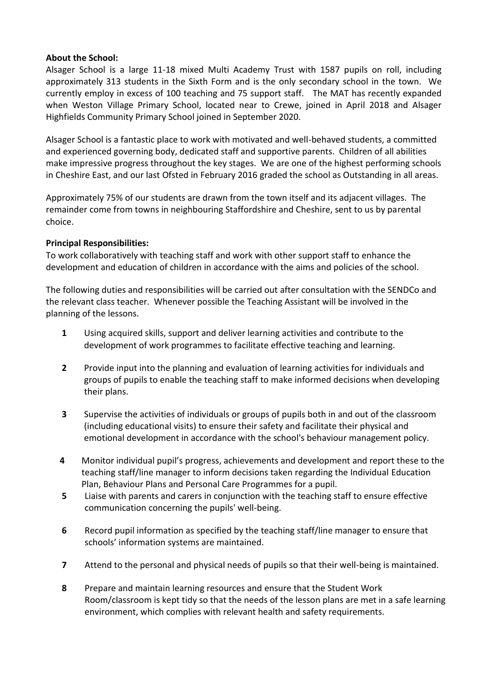## **About the School:**

Alsager School is a large 11-18 mixed Multi Academy Trust with 1587 pupils on roll, including approximately 313 students in the Sixth Form and is the only secondary school in the town. We currently employ in excess of 100 teaching and 75 support staff. The MAT has recently expanded when Weston Village Primary School, located near to Crewe, joined in April 2018 and Alsager Highfields Community Primary School joined in September 2020.

Alsager School is a fantastic place to work with motivated and well-behaved students, a committed and experienced governing body, dedicated staff and supportive parents. Children of all abilities make impressive progress throughout the key stages. We are one of the highest performing schools in Cheshire East, and our last Ofsted in February 2016 graded the school as Outstanding in all areas.

Approximately 75% of our students are drawn from the town itself and its adjacent villages. The remainder come from towns in neighbouring Staffordshire and Cheshire, sent to us by parental choice.

## **Principal Responsibilities:**

To work collaboratively with teaching staff and work with other support staff to enhance the development and education of children in accordance with the aims and policies of the school.

The following duties and responsibilities will be carried out after consultation with the SENDCo and the relevant class teacher. Whenever possible the Teaching Assistant will be involved in the planning of the lessons.

- **1** Using acquired skills, support and deliver learning activities and contribute to the development of work programmes to facilitate effective teaching and learning.
- **2** Provide input into the planning and evaluation of learning activities for individuals and groups of pupils to enable the teaching staff to make informed decisions when developing their plans.
- **3** Supervise the activities of individuals or groups of pupils both in and out of the classroom (including educational visits) to ensure their safety and facilitate their physical and emotional development in accordance with the school's behaviour management policy.
- **4** Monitor individual pupil's progress, achievements and development and report these to the teaching staff/line manager to inform decisions taken regarding the Individual Education Plan, Behaviour Plans and Personal Care Programmes for a pupil.
- **5** Liaise with parents and carers in conjunction with the teaching staff to ensure effective communication concerning the pupils' well-being.
- **6** Record pupil information as specified by the teaching staff/line manager to ensure that schools' information systems are maintained.
- **7** Attend to the personal and physical needs of pupils so that their well-being is maintained.
- **8** Prepare and maintain learning resources and ensure that the Student Work Room/classroom is kept tidy so that the needs of the lesson plans are met in a safe learning environment, which complies with relevant health and safety requirements.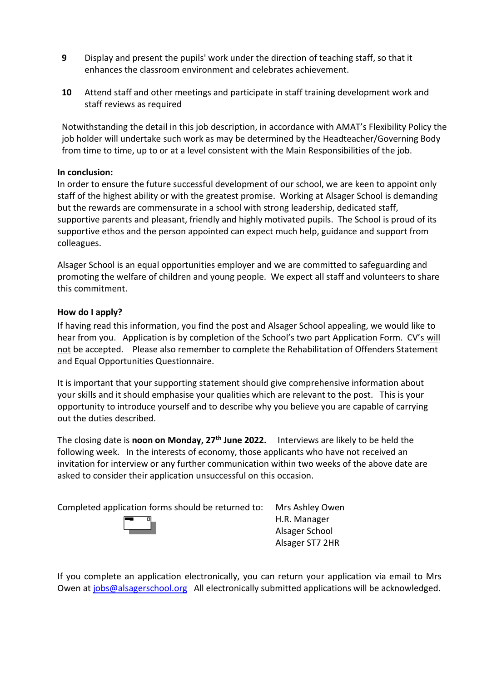- **9** Display and present the pupils' work under the direction of teaching staff, so that it enhances the classroom environment and celebrates achievement.
- **10** Attend staff and other meetings and participate in staff training development work and staff reviews as required

Notwithstanding the detail in this job description, in accordance with AMAT's Flexibility Policy the job holder will undertake such work as may be determined by the Headteacher/Governing Body from time to time, up to or at a level consistent with the Main Responsibilities of the job.

## **In conclusion:**

In order to ensure the future successful development of our school, we are keen to appoint only staff of the highest ability or with the greatest promise. Working at Alsager School is demanding but the rewards are commensurate in a school with strong leadership, dedicated staff, supportive parents and pleasant, friendly and highly motivated pupils. The School is proud of its supportive ethos and the person appointed can expect much help, guidance and support from colleagues.

Alsager School is an equal opportunities employer and we are committed to safeguarding and promoting the welfare of children and young people. We expect all staff and volunteers to share this commitment.

## **How do I apply?**

If having read this information, you find the post and Alsager School appealing, we would like to hear from you. Application is by completion of the School's two part Application Form. CV's will not be accepted. Please also remember to complete the Rehabilitation of Offenders Statement and Equal Opportunities Questionnaire.

It is important that your supporting statement should give comprehensive information about your skills and it should emphasise your qualities which are relevant to the post. This is your opportunity to introduce yourself and to describe why you believe you are capable of carrying out the duties described.

The closing date is **noon on Monday, 27th June 2022.** Interviews are likely to be held the following week. In the interests of economy, those applicants who have not received an invitation for interview or any further communication within two weeks of the above date are asked to consider their application unsuccessful on this occasion.

Completed application forms should be returned to: Mrs Ashley Owen



H.R. Manager Alsager School Alsager ST7 2HR

If you complete an application electronically, you can return your application via email to Mrs Owen at [jobs@alsagerschool.org](mailto:jobs@alsagerschool.org) All electronically submitted applications will be acknowledged.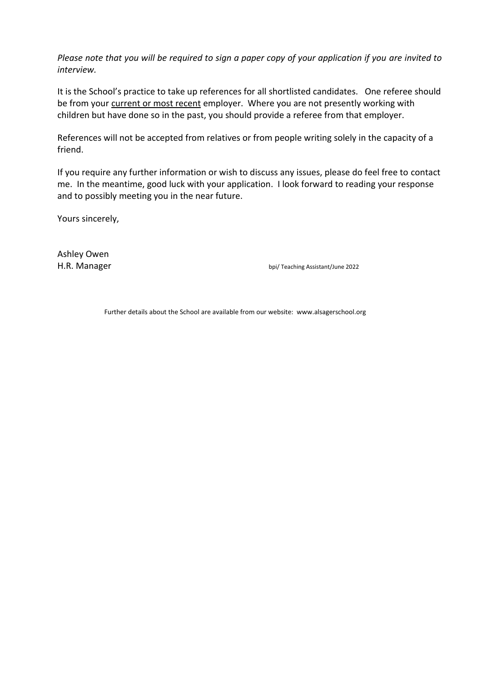*Please note that you will be required to sign a paper copy of your application if you are invited to interview.* 

It is the School's practice to take up references for all shortlisted candidates. One referee should be from your current or most recent employer. Where you are not presently working with children but have done so in the past, you should provide a referee from that employer.

References will not be accepted from relatives or from people writing solely in the capacity of a friend.

If you require any further information or wish to discuss any issues, please do feel free to contact me. In the meantime, good luck with your application. I look forward to reading your response and to possibly meeting you in the near future.

Yours sincerely,

Ashley Owen

H.R. Manager bpi/ Teaching Assistant/June 2022

Further details about the School are available from our website: www.alsagerschool.org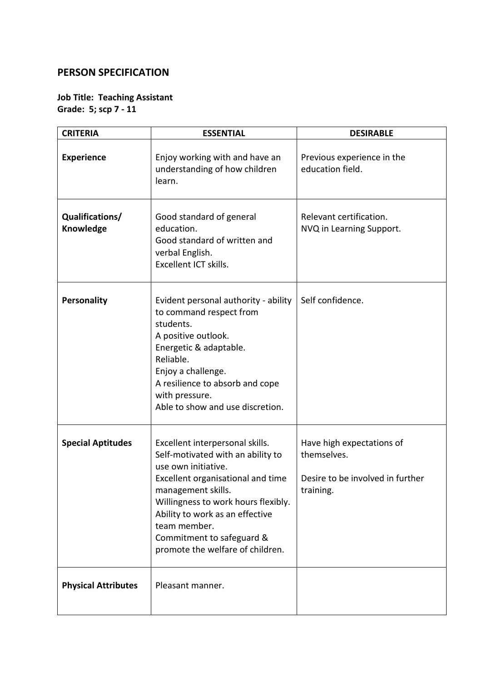# **PERSON SPECIFICATION**

## **Job Title: Teaching Assistant Grade: 5; scp 7 - 11**

| <b>CRITERIA</b>              | <b>ESSENTIAL</b>                                                                                                                                                                                                                                                                                                  | <b>DESIRABLE</b>                                                                          |
|------------------------------|-------------------------------------------------------------------------------------------------------------------------------------------------------------------------------------------------------------------------------------------------------------------------------------------------------------------|-------------------------------------------------------------------------------------------|
| <b>Experience</b>            | Enjoy working with and have an<br>understanding of how children<br>learn.                                                                                                                                                                                                                                         | Previous experience in the<br>education field.                                            |
| Qualifications/<br>Knowledge | Good standard of general<br>education.<br>Good standard of written and<br>verbal English.<br>Excellent ICT skills.                                                                                                                                                                                                | Relevant certification.<br>NVQ in Learning Support.                                       |
| <b>Personality</b>           | Evident personal authority - ability<br>to command respect from<br>students.<br>A positive outlook.<br>Energetic & adaptable.<br>Reliable.<br>Enjoy a challenge.<br>A resilience to absorb and cope<br>with pressure.<br>Able to show and use discretion.                                                         | Self confidence.                                                                          |
| <b>Special Aptitudes</b>     | Excellent interpersonal skills.<br>Self-motivated with an ability to<br>use own initiative.<br>Excellent organisational and time<br>management skills.<br>Willingness to work hours flexibly.<br>Ability to work as an effective<br>team member.<br>Commitment to safeguard &<br>promote the welfare of children. | Have high expectations of<br>themselves.<br>Desire to be involved in further<br>training. |
| <b>Physical Attributes</b>   | Pleasant manner.                                                                                                                                                                                                                                                                                                  |                                                                                           |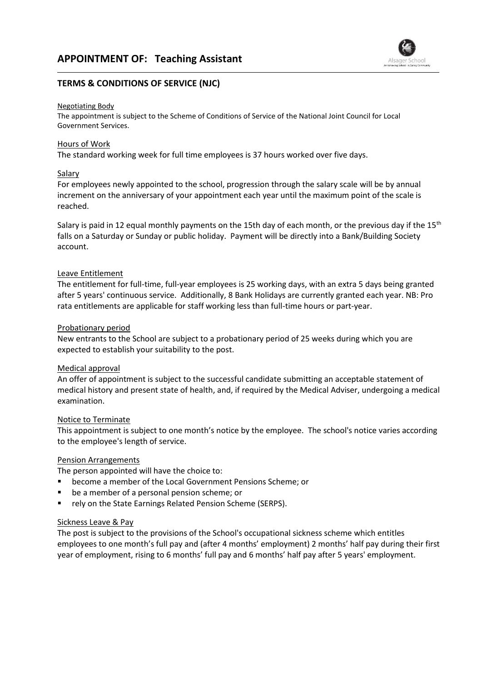

## **TERMS & CONDITIONS OF SERVICE (NJC)**

#### Negotiating Body

The appointment is subject to the Scheme of Conditions of Service of the National Joint Council for Local Government Services.

#### Hours of Work

The standard working week for full time employees is 37 hours worked over five days.

#### Salary

For employees newly appointed to the school, progression through the salary scale will be by annual increment on the anniversary of your appointment each year until the maximum point of the scale is reached.

Salary is paid in 12 equal monthly payments on the 15th day of each month, or the previous day if the 15<sup>th</sup> falls on a Saturday or Sunday or public holiday. Payment will be directly into a Bank/Building Society account.

#### Leave Entitlement

The entitlement for full-time, full-year employees is 25 working days, with an extra 5 days being granted after 5 years' continuous service. Additionally, 8 Bank Holidays are currently granted each year. NB: Pro rata entitlements are applicable for staff working less than full-time hours or part-year.

#### Probationary period

New entrants to the School are subject to a probationary period of 25 weeks during which you are expected to establish your suitability to the post.

#### Medical approval

An offer of appointment is subject to the successful candidate submitting an acceptable statement of medical history and present state of health, and, if required by the Medical Adviser, undergoing a medical examination.

#### Notice to Terminate

This appointment is subject to one month's notice by the employee. The school's notice varies according to the employee's length of service.

#### Pension Arrangements

The person appointed will have the choice to:

- become a member of the Local Government Pensions Scheme; or
- be a member of a personal pension scheme; or
- rely on the State Earnings Related Pension Scheme (SERPS).

#### Sickness Leave & Pay

The post is subject to the provisions of the School's occupational sickness scheme which entitles employees to one month's full pay and (after 4 months' employment) 2 months' half pay during their first year of employment, rising to 6 months' full pay and 6 months' half pay after 5 years' employment.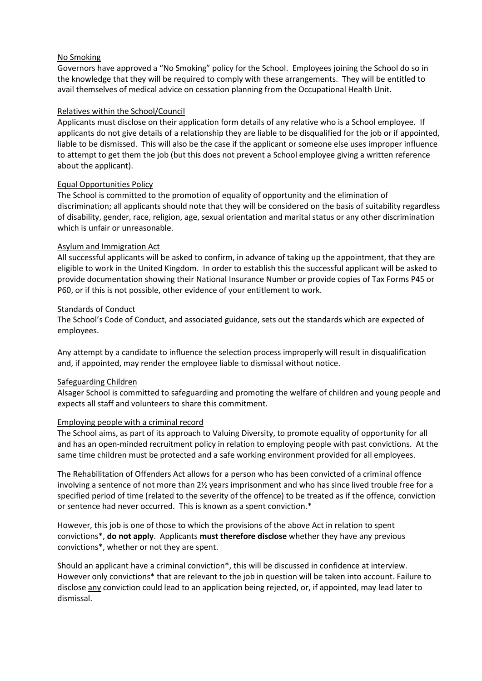#### No Smoking

Governors have approved a "No Smoking" policy for the School. Employees joining the School do so in the knowledge that they will be required to comply with these arrangements. They will be entitled to avail themselves of medical advice on cessation planning from the Occupational Health Unit.

#### Relatives within the School/Council

Applicants must disclose on their application form details of any relative who is a School employee. If applicants do not give details of a relationship they are liable to be disqualified for the job or if appointed, liable to be dismissed. This will also be the case if the applicant or someone else uses improper influence to attempt to get them the job (but this does not prevent a School employee giving a written reference about the applicant).

#### Equal Opportunities Policy

The School is committed to the promotion of equality of opportunity and the elimination of discrimination; all applicants should note that they will be considered on the basis of suitability regardless of disability, gender, race, religion, age, sexual orientation and marital status or any other discrimination which is unfair or unreasonable.

#### Asylum and Immigration Act

All successful applicants will be asked to confirm, in advance of taking up the appointment, that they are eligible to work in the United Kingdom. In order to establish this the successful applicant will be asked to provide documentation showing their National Insurance Number or provide copies of Tax Forms P45 or P60, or if this is not possible, other evidence of your entitlement to work.

#### Standards of Conduct

The School's Code of Conduct, and associated guidance, sets out the standards which are expected of employees.

Any attempt by a candidate to influence the selection process improperly will result in disqualification and, if appointed, may render the employee liable to dismissal without notice.

#### Safeguarding Children

Alsager School is committed to safeguarding and promoting the welfare of children and young people and expects all staff and volunteers to share this commitment.

#### Employing people with a criminal record

The School aims, as part of its approach to Valuing Diversity, to promote equality of opportunity for all and has an open-minded recruitment policy in relation to employing people with past convictions. At the same time children must be protected and a safe working environment provided for all employees.

The Rehabilitation of Offenders Act allows for a person who has been convicted of a criminal offence involving a sentence of not more than 2½ years imprisonment and who has since lived trouble free for a specified period of time (related to the severity of the offence) to be treated as if the offence, conviction or sentence had never occurred. This is known as a spent conviction.\*

However, this job is one of those to which the provisions of the above Act in relation to spent convictions\*, **do not apply**. Applicants **must therefore disclose** whether they have any previous convictions\*, whether or not they are spent.

Should an applicant have a criminal conviction\*, this will be discussed in confidence at interview. However only convictions\* that are relevant to the job in question will be taken into account. Failure to disclose any conviction could lead to an application being rejected, or, if appointed, may lead later to dismissal.